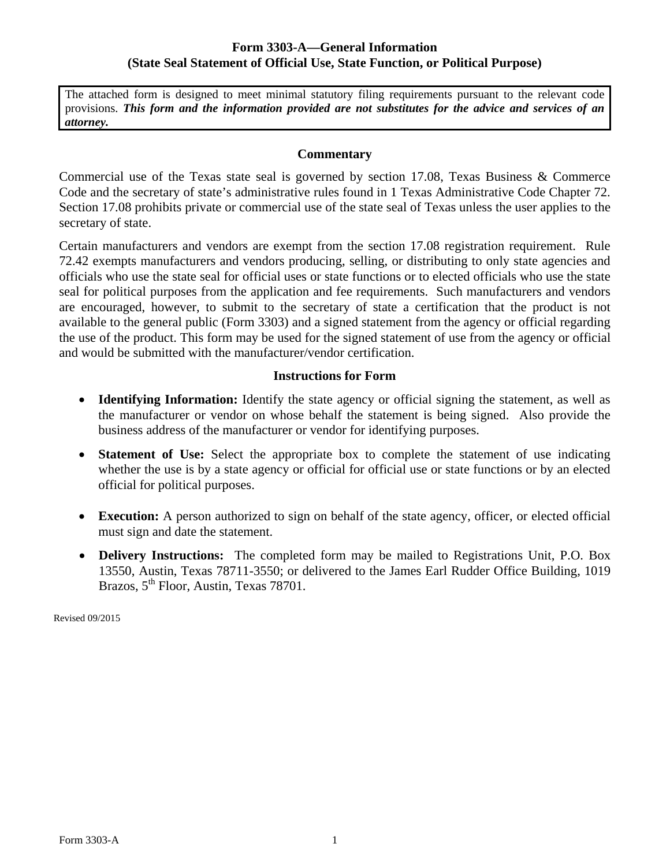## **Form 3303-A—General Information (State Seal Statement of Official Use, State Function, or Political Purpose)**

The attached form is designed to meet minimal statutory filing requirements pursuant to the relevant code provisions. *This form and the information provided are not substitutes for the advice and services of an attorney.* 

## **Commentary**

Commercial use of the Texas state seal is governed by section 17.08, Texas Business & Commerce Code and the secretary of state's administrative rules found in 1 Texas Administrative Code Chapter 72. Section 17.08 prohibits private or commercial use of the state seal of Texas unless the user applies to the secretary of state.

Certain manufacturers and vendors are exempt from the section 17.08 registration requirement. Rule 72.42 exempts manufacturers and vendors producing, selling, or distributing to only state agencies and officials who use the state seal for official uses or state functions or to elected officials who use the state seal for political purposes from the application and fee requirements. Such manufacturers and vendors are encouraged, however, to submit to the secretary of state a certification that the product is not available to the general public (Form 3303) and a signed statement from the agency or official regarding the use of the product. This form may be used for the signed statement of use from the agency or official and would be submitted with the manufacturer/vendor certification.

## **Instructions for Form**

- **Identifying Information:** Identify the state agency or official signing the statement, as well as the manufacturer or vendor on whose behalf the statement is being signed. Also provide the business address of the manufacturer or vendor for identifying purposes.
- **Statement of Use:** Select the appropriate box to complete the statement of use indicating whether the use is by a state agency or official for official use or state functions or by an elected official for political purposes.
- **Execution:** A person authorized to sign on behalf of the state agency, officer, or elected official must sign and date the statement.
- **Delivery Instructions:** The completed form may be mailed to Registrations Unit, P.O. Box 13550, Austin, Texas 78711-3550; or delivered to the James Earl Rudder Office Building, 1019 Brazos, 5<sup>th</sup> Floor, Austin, Texas 78701.

Revised 09/2015